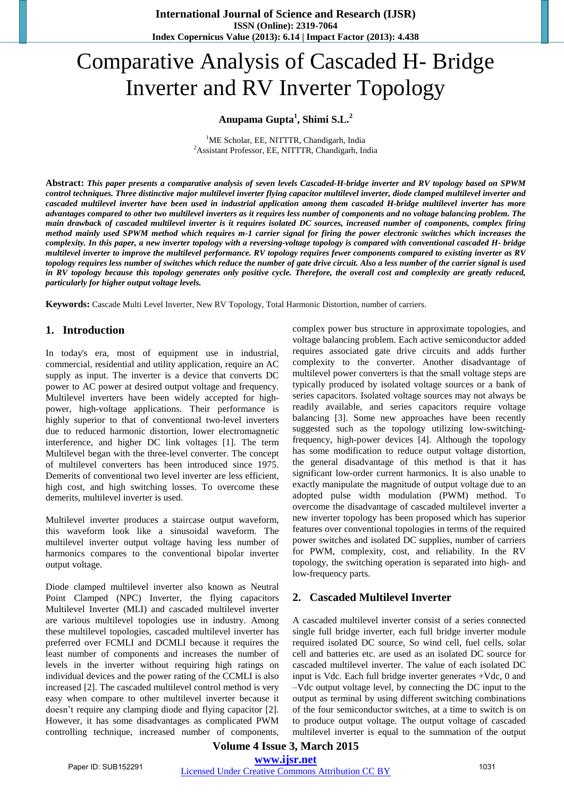# Comparative Analysis of Cascaded H- Bridge Inverter and RV Inverter Topology

## **Anupama Gupta<sup>1</sup> , Shimi S.L.<sup>2</sup>**

<sup>1</sup>ME Scholar, EE, NITTTR, Chandigarh, India <sup>2</sup>Assistant Professor, EE, NITTTR, Chandigarh, India

**Abstract:** *This paper presents a comparative analysis of seven levels Cascaded-H-bridge inverter and RV topology based on SPWM*  control techniques. Three distinctive major multilevel inverter flying capacitor multilevel inverter, diode clamped multilevel inverter and cascaded multilevel inverter have been used in industrial application among them cascaded H-bridge multilevel inverter has more advantages compared to other two multilevel inverters as it requires less number of components and no voltage balancing problem. The main drawback of cascaded multilevel inverter is it requires isolated DC sources, increased number of components, complex firing method mainly used SPWM method which requires m-1 carrier signal for firing the power electronic switches which increases the complexity. In this paper, a new inverter topology with a reversing-voltage topology is compared with conventional cascaded H- bridge multilevel inverter to improve the multilevel performance. RV topology requires fewer components compared to existing inverter as RV topology requires less number of switches which reduce the number of gate drive circuit. Also a less number of the carrier signal is used in RV topology because this topology generates only positive cycle. Therefore, the overall cost and complexity are greatly reduced, *particularly for higher output voltage levels.*

**Keywords:** Cascade Multi Level Inverter, New RV Topology, Total Harmonic Distortion, number of carriers.

### **1. Introduction**

In today's era, most of equipment use in industrial, commercial, residential and utility application, require an AC supply as input. The inverter is a device that converts DC power to AC power at desired output voltage and frequency. Multilevel inverters have been widely accepted for highpower, high-voltage applications. Their performance is highly superior to that of conventional two-level inverters due to reduced harmonic distortion, lower electromagnetic interference, and higher DC link voltages [1]. The term Multilevel began with the three-level converter. The concept of multilevel converters has been introduced since 1975. Demerits of conventional two level inverter are less efficient, high cost, and high switching losses. To overcome these demerits, multilevel inverter is used.

Multilevel inverter produces a staircase output waveform, this waveform look like a sinusoidal waveform. The multilevel inverter output voltage having less number of harmonics compares to the conventional bipolar inverter output voltage.

Diode clamped multilevel inverter also known as Neutral Point Clamped (NPC) Inverter, the flying capacitors Multilevel Inverter (MLI) and cascaded multilevel inverter are various multilevel topologies use in industry. Among these multilevel topologies, cascaded multilevel inverter has preferred over FCMLI and DCMLI because it requires the least number of components and increases the number of levels in the inverter without requiring high ratings on individual devices and the power rating of the CCMLI is also increased [2]. The cascaded multilevel control method is very easy when compare to other multilevel inverter because it doesn't require any clamping diode and flying capacitor [2]. However, it has some disadvantages as complicated PWM controlling technique, increased number of components, complex power bus structure in approximate topologies, and voltage balancing problem. Each active semiconductor added requires associated gate drive circuits and adds further complexity to the converter. Another disadvantage of multilevel power converters is that the small voltage steps are typically produced by isolated voltage sources or a bank of series capacitors. Isolated voltage sources may not always be readily available, and series capacitors require voltage balancing [3]. Some new approaches have been recently suggested such as the topology utilizing low-switchingfrequency, high-power devices [4]. Although the topology has some modification to reduce output voltage distortion, the general disadvantage of this method is that it has significant low-order current harmonics. It is also unable to exactly manipulate the magnitude of output voltage due to an adopted pulse width modulation (PWM) method. To overcome the disadvantage of cascaded multilevel inverter a new inverter topology has been proposed which has superior features over conventional topologies in terms of the required power switches and isolated DC supplies, number of carriers for PWM, complexity, cost, and reliability. In the RV topology, the switching operation is separated into high- and low-frequency parts.

#### **2. Cascaded Multilevel Inverter**

A cascaded multilevel inverter consist of a series connected single full bridge inverter, each full bridge inverter module required isolated DC source, So wind cell, fuel cells, solar cell and batteries etc. are used as an isolated DC source for cascaded multilevel inverter. The value of each isolated DC input is Vdc. Each full bridge inverter generates +Vdc, 0 and –Vdc output voltage level, by connecting the DC input to the output as terminal by using different switching combinations of the four semiconductor switches, at a time to switch is on to produce output voltage. The output voltage of cascaded multilevel inverter is equal to the summation of the output

#### **Volume 4 Issue 3, March 2015 www.ijsr.net**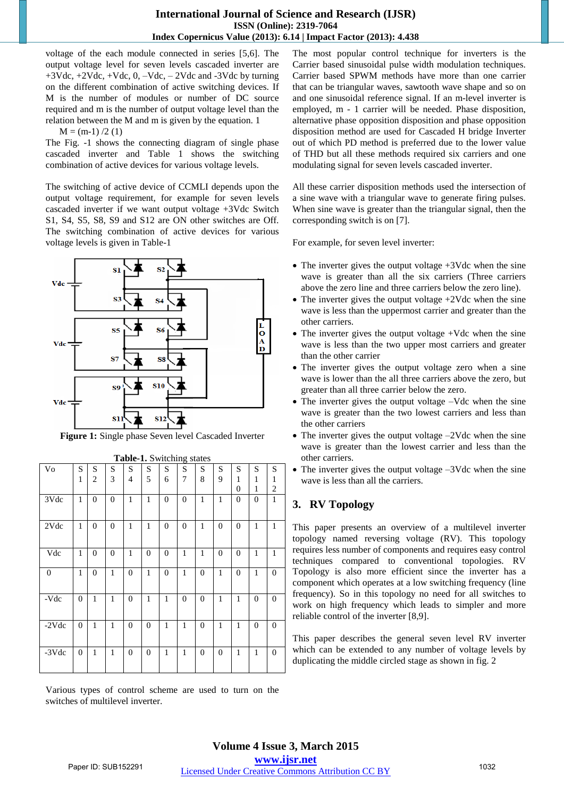voltage of the each module connected in series [5,6]. The output voltage level for seven levels cascaded inverter are  $+3Vdc, +2Vdc, +Vdc, 0, -Vdc, -2Vdc$  and  $-3Vdc$  by turning on the different combination of active switching devices. If M is the number of modules or number of DC source required and m is the number of output voltage level than the relation between the M and m is given by the equation. 1

 $M = (m-1)/2(1)$ 

The Fig. -1 shows the connecting diagram of single phase cascaded inverter and Table 1 shows the switching combination of active devices for various voltage levels.

The switching of active device of CCMLI depends upon the output voltage requirement, for example for seven levels cascaded inverter if we want output voltage +3Vdc Switch S1, S4, S5, S8, S9 and S12 are ON other switches are Off. The switching combination of active devices for various voltage levels is given in Table-1



**Figure 1:** Single phase Seven level Cascaded Inverter

|                | <b>Table-1.</b> Switching states |                |                  |                  |                  |              |                |                  |                  |                |                  |                  |
|----------------|----------------------------------|----------------|------------------|------------------|------------------|--------------|----------------|------------------|------------------|----------------|------------------|------------------|
| Vo             | S                                | S              | S                | S                | S                | S            | S              | S                | S                | S              | S                | S                |
|                | 1                                | $\overline{c}$ | 3                | $\overline{4}$   | 5                | 6            | 7              | 8                | 9                | 1              | 1                | 1                |
|                |                                  |                |                  |                  |                  |              |                |                  |                  | $\overline{0}$ | 1                | $\boldsymbol{2}$ |
| 3Vdc           | $\mathbf{1}$                     | $\mathbf{0}$   | $\theta$         | $\mathbf{1}$     | $\mathbf{1}$     | $\mathbf{0}$ | $\mathbf{0}$   | $\mathbf{1}$     | $\mathbf{1}$     | $\mathbf{0}$   | $\mathbf{0}$     | $\mathbf{1}$     |
| 2Vdc           | $\mathbf{1}$                     | $\overline{0}$ | $\boldsymbol{0}$ | $\mathbf{1}$     | $\mathbf{1}$     | $\mathbf{0}$ | $\overline{0}$ | $\mathbf{1}$     | $\boldsymbol{0}$ | $\overline{0}$ | $\mathbf{1}$     | $\mathbf{1}$     |
| Vdc            | $\mathbf{1}$                     | $\mathbf{0}$   | $\mathbf{0}$     | $\mathbf{1}$     | $\overline{0}$   | $\mathbf{0}$ | $\mathbf{1}$   | $\mathbf{1}$     | $\boldsymbol{0}$ | $\overline{0}$ | $\mathbf{1}$     | $\mathbf{1}$     |
| $\overline{0}$ | 1                                | $\mathbf{0}$   | 1                | $\mathbf{0}$     | $\mathbf{1}$     | $\mathbf{0}$ | 1              | $\mathbf{0}$     | 1                | $\mathbf{0}$   | 1                | $\boldsymbol{0}$ |
| -Vdc           | $\mathbf{0}$                     | 1              | $\mathbf{1}$     | $\overline{0}$   | $\mathbf{1}$     | $\mathbf{1}$ | $\mathbf{0}$   | $\mathbf{0}$     | $\mathbf{1}$     | $\mathbf{1}$   | $\mathbf{0}$     | $\boldsymbol{0}$ |
| $-2Vdc$        | $\mathbf{0}$                     | $\mathbf{1}$   | $\mathbf{1}$     | $\boldsymbol{0}$ | $\boldsymbol{0}$ | $\mathbf{1}$ | $\mathbf{1}$   | $\boldsymbol{0}$ | $\mathbf{1}$     | $\mathbf{1}$   | $\boldsymbol{0}$ | $\boldsymbol{0}$ |
| $-3Vdc$        | $\mathbf{0}$                     | 1              | $\mathbf{1}$     | $\overline{0}$   | $\mathbf{0}$     | $\mathbf{1}$ | $\mathbf{1}$   | $\mathbf{0}$     | $\mathbf{0}$     | $\mathbf{1}$   | $\mathbf{1}$     | $\boldsymbol{0}$ |

**Table-1.** Switching states

The most popular control technique for inverters is the Carrier based sinusoidal pulse width modulation techniques. Carrier based SPWM methods have more than one carrier that can be triangular waves, sawtooth wave shape and so on and one sinusoidal reference signal. If an m-level inverter is employed, m - 1 carrier will be needed. Phase disposition, alternative phase opposition disposition and phase opposition disposition method are used for Cascaded H bridge Inverter out of which PD method is preferred due to the lower value of THD but all these methods required six carriers and one modulating signal for seven levels cascaded inverter.

All these carrier disposition methods used the intersection of a sine wave with a triangular wave to generate firing pulses. When sine wave is greater than the triangular signal, then the corresponding switch is on [7].

For example, for seven level inverter:

- The inverter gives the output voltage +3Vdc when the sine wave is greater than all the six carriers (Three carriers above the zero line and three carriers below the zero line).
- The inverter gives the output voltage  $+2$ Vdc when the sine wave is less than the uppermost carrier and greater than the other carriers.
- The inverter gives the output voltage +Vdc when the sine wave is less than the two upper most carriers and greater than the other carrier
- The inverter gives the output voltage zero when a sine wave is lower than the all three carriers above the zero, but greater than all three carrier below the zero.
- The inverter gives the output voltage –Vdc when the sine wave is greater than the two lowest carriers and less than the other carriers
- The inverter gives the output voltage –2Vdc when the sine wave is greater than the lowest carrier and less than the other carriers.
- The inverter gives the output voltage –3Vdc when the sine wave is less than all the carriers.

## **3. RV Topology**

This paper presents an overview of a multilevel inverter topology named reversing voltage (RV). This topology requires less number of components and requires easy control techniques compared to conventional topologies. RV Topology is also more efficient since the inverter has a component which operates at a low switching frequency (line frequency). So in this topology no need for all switches to work on high frequency which leads to simpler and more reliable control of the inverter [8,9].

This paper describes the general seven level RV inverter which can be extended to any number of voltage levels by duplicating the middle circled stage as shown in fig. 2

Various types of control scheme are used to turn on the switches of multilevel inverter.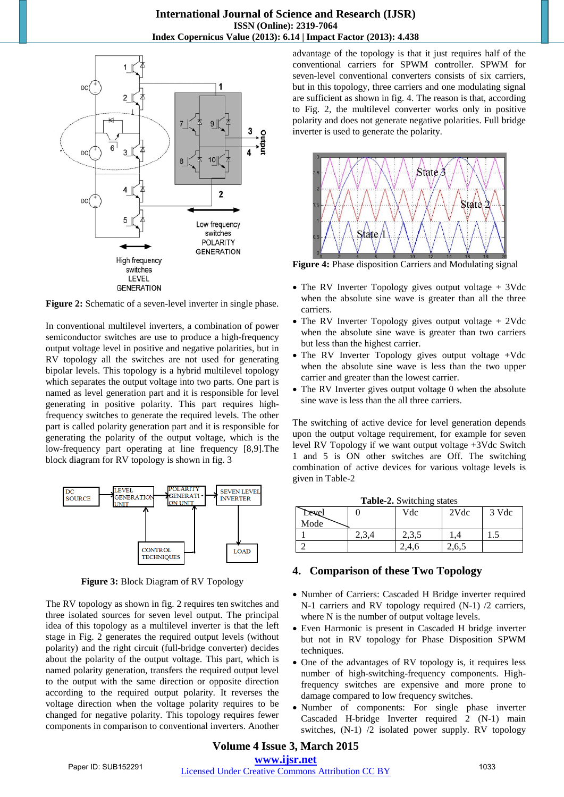

Figure 2: Schematic of a seven-level inverter in single phase.

In conventional multilevel inverters, a combination of power semiconductor switches are use to produce a high-frequency output voltage level in positive and negative polarities, but in RV topology all the switches are not used for generating bipolar levels. This topology is a hybrid multilevel topology which separates the output voltage into two parts. One part is named as level generation part and it is responsible for level generating in positive polarity. This part requires highfrequency switches to generate the required levels. The other part is called polarity generation part and it is responsible for generating the polarity of the output voltage, which is the low-frequency part operating at line frequency [8,9].The block diagram for RV topology is shown in fig. 3



**Figure 3:** Block Diagram of RV Topology

The RV topology as shown in fig. 2 requires ten switches and three isolated sources for seven level output. The principal idea of this topology as a multilevel inverter is that the left stage in Fig. 2 generates the required output levels (without polarity) and the right circuit (full-bridge converter) decides about the polarity of the output voltage. This part, which is named polarity generation, transfers the required output level to the output with the same direction or opposite direction according to the required output polarity. It reverses the voltage direction when the voltage polarity requires to be changed for negative polarity. This topology requires fewer components in comparison to conventional inverters. Another

advantage of the topology is that it just requires half of the conventional carriers for SPWM controller. SPWM for seven-level conventional converters consists of six carriers, but in this topology, three carriers and one modulating signal are sufficient as shown in fig. 4. The reason is that, according to Fig. 2, the multilevel converter works only in positive polarity and does not generate negative polarities. Full bridge inverter is used to generate the polarity.



**Figure 4:** Phase disposition Carriers and Modulating signal

- The RV Inverter Topology gives output voltage + 3Vdc when the absolute sine wave is greater than all the three carriers.
- The RV Inverter Topology gives output voltage + 2Vdc when the absolute sine wave is greater than two carriers but less than the highest carrier.
- The RV Inverter Topology gives output voltage +Vdc when the absolute sine wave is less than the two upper carrier and greater than the lowest carrier.
- The RV Inverter gives output voltage 0 when the absolute sine wave is less than the all three carriers.

The switching of active device for level generation depends upon the output voltage requirement, for example for seven level RV Topology if we want output voltage +3Vdc Switch 1 and 5 is ON other switches are Off. The switching combination of active devices for various voltage levels is given in Table-2

|       | ---------  |       |       |       |  |  |  |  |  |  |  |
|-------|------------|-------|-------|-------|--|--|--|--|--|--|--|
| Devel |            | Vdc   | 2Vdc  | 3 Vdc |  |  |  |  |  |  |  |
| Mode  |            |       |       |       |  |  |  |  |  |  |  |
|       | n 2<br>د ف | 2,3,5 |       | ر. 1  |  |  |  |  |  |  |  |
|       |            | .4.6  | 2,6,5 |       |  |  |  |  |  |  |  |

## **4. Comparison of these Two Topology**

- Number of Carriers: Cascaded H Bridge inverter required N-1 carriers and RV topology required (N-1) /2 carriers, where N is the number of output voltage levels.
- Even Harmonic is present in Cascaded H bridge inverter but not in RV topology for Phase Disposition SPWM techniques.
- One of the advantages of RV topology is, it requires less number of high-switching-frequency components. Highfrequency switches are expensive and more prone to damage compared to low frequency switches.
- Number of components: For single phase inverter Cascaded H-bridge Inverter required 2 (N-1) main switches, (N-1) /2 isolated power supply. RV topology

## **Volume 4 Issue 3, March 2015**

**www.ijsr.net**